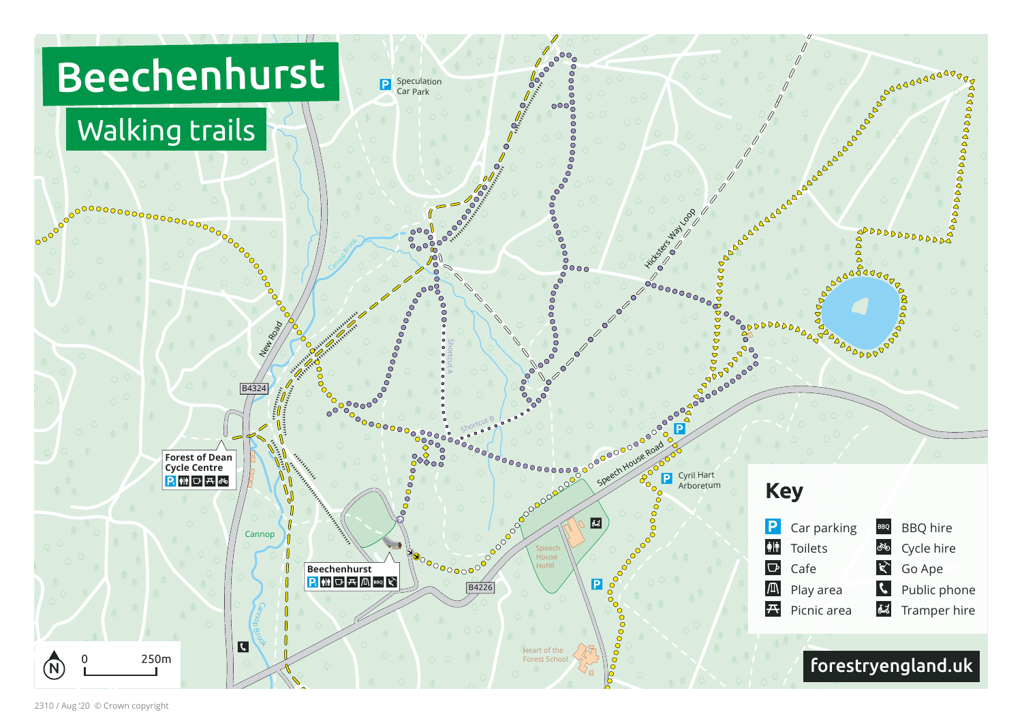

2310 / Aug '20 © Crown copyright